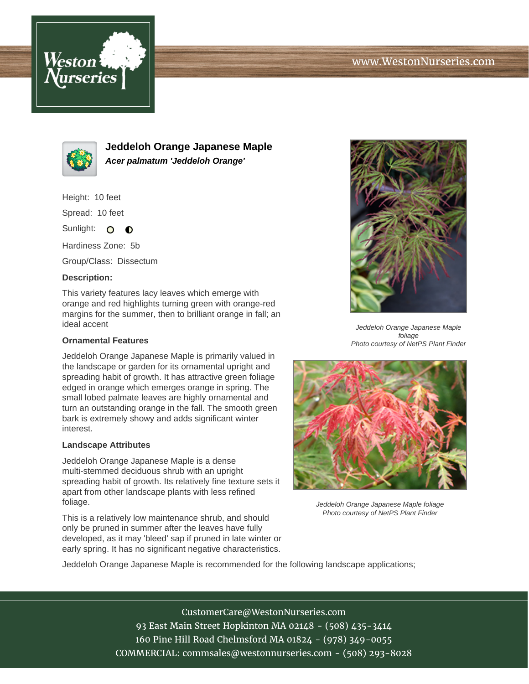



**Jeddeloh Orange Japanese Maple Acer palmatum 'Jeddeloh Orange'**

Height: 10 feet

Spread: 10 feet

Sunlight: O  $\bullet$ 

Hardiness Zone: 5b

Group/Class: Dissectum

## **Description:**

This variety features lacy leaves which emerge with orange and red highlights turning green with orange-red margins for the summer, then to brilliant orange in fall; an ideal accent

## **Ornamental Features**

Jeddeloh Orange Japanese Maple is primarily valued in the landscape or garden for its ornamental upright and spreading habit of growth. It has attractive green foliage edged in orange which emerges orange in spring. The small lobed palmate leaves are highly ornamental and turn an outstanding orange in the fall. The smooth green bark is extremely showy and adds significant winter interest.

## **Landscape Attributes**

Jeddeloh Orange Japanese Maple is a dense multi-stemmed deciduous shrub with an upright spreading habit of growth. Its relatively fine texture sets it apart from other landscape plants with less refined foliage.

This is a relatively low maintenance shrub, and should only be pruned in summer after the leaves have fully developed, as it may 'bleed' sap if pruned in late winter or early spring. It has no significant negative characteristics.



Jeddeloh Orange Japanese Maple foliage Photo courtesy of NetPS Plant Finder



Jeddeloh Orange Japanese Maple foliage Photo courtesy of NetPS Plant Finder

Jeddeloh Orange Japanese Maple is recommended for the following landscape applications;

CustomerCare@WestonNurseries.com 93 East Main Street Hopkinton MA 02148 - (508) 435-3414 160 Pine Hill Road Chelmsford MA 01824 - (978) 349-0055 COMMERCIAL: commsales@westonnurseries.com - (508) 293-8028